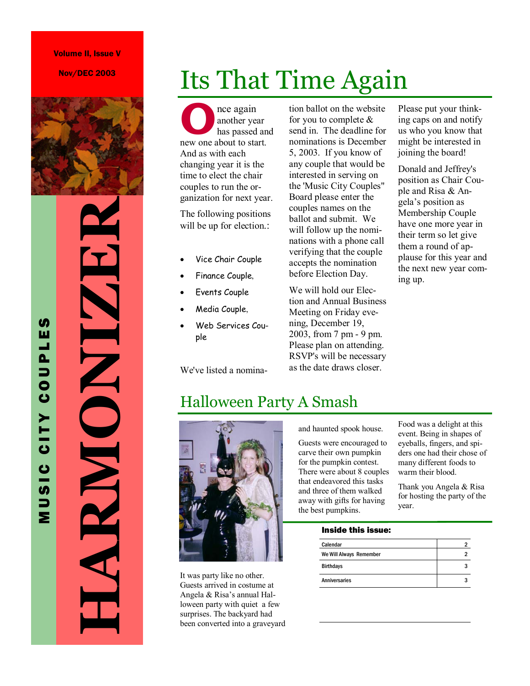Nov/DEC 2003



# **HARMONIZER**  ND ND ND KK

MUSIC CITY COUPLES

MUSIC CITY COUPLE

**SI** 

## Its That Time Again

**O**nce again<br>
has passed an<br>
new one about to start. another year has passed and And as with each changing year it is the time to elect the chair couples to run the organization for next year.

The following positions will be up for election.:

- Vice Chair Couple
- Finance Couple,
- Events Couple
- Media Couple,
- Web Services Couple

We've listed a nomina-

tion ballot on the website for you to complete  $\&$ send in. The deadline for nominations is December 5, 2003. If you know of any couple that would be interested in serving on the 'Music City Couples" Board please enter the couples names on the ballot and submit. We will follow up the nominations with a phone call verifying that the couple accepts the nomination before Election Day.

We will hold our Election and Annual Business Meeting on Friday evening, December 19, 2003, from 7 pm - 9 pm. Please plan on attending. RSVP's will be necessary as the date draws closer.

Please put your thinking caps on and notify us who you know that might be interested in joining the board!

Donald and Jeffrey's position as Chair Couple and Risa & Angela's position as Membership Couple have one more year in their term so let give them a round of applause for this year and the next new year coming up.

#### Halloween Party A Smash



It was party like no other. Guests arrived in costume at Angela & Risa's annual Halloween party with quiet a few surprises. The backyard had been converted into a graveyard and haunted spook house.

Guests were encouraged to carve their own pumpkin for the pumpkin contest. There were about 8 couples that endeavored this tasks and three of them walked away with gifts for having the best pumpkins.

Food was a delight at this event. Being in shapes of eyeballs, fingers, and spiders one had their chose of many different foods to warm their blood.

Thank you Angela & Risa for hosting the party of the year.

#### Inside this issue:

| Calendar                |  |
|-------------------------|--|
| We Will Always Remember |  |
| <b>Birthdays</b>        |  |
| <b>Anniversaries</b>    |  |
|                         |  |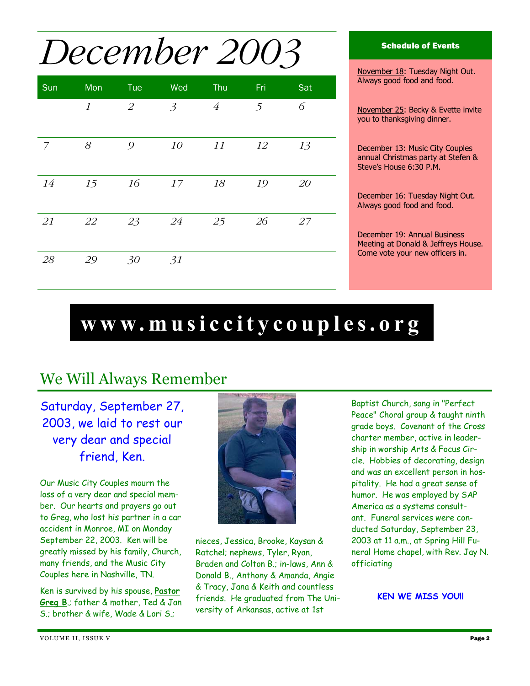## *December 2003*

| Sun | Mon           | Tue | Wed            | Thu            | Fri | Sat |
|-----|---------------|-----|----------------|----------------|-----|-----|
|     | $\mathcal{I}$ | 2   | $\mathfrak{Z}$ | $\overline{4}$ | 5   | 6   |
| 7   | $\mathcal S$  | 9   | 10             | 11             | 12  | 13  |
| 14  | 15            | 16  | 17             | 18             | 19  | 20  |
| 21  | 22            | 23  | 24             | 25             | 26  | 27  |
| 28  | 29            | 30  | 31             |                |     |     |

#### Schedule of Events

November 18: Tuesday Night Out. Always good food and food.

November 25: Becky & Evette invite you to thanksgiving dinner.

December 13: Music City Couples annual Christmas party at Stefen & Steve's House 6:30 P.M.

December 16: Tuesday Night Out. Always good food and food.

December 19: Annual Business Meeting at Donald & Jeffreys House. Come vote your new officers in.

## **www.musiccitycouples.org**

#### We Will Always Remember

Saturday, September 27, 2003, we laid to rest our very dear and special friend, Ken.

Our Music City Couples mourn the loss of a very dear and special member. Our hearts and prayers go out to Greg, who lost his partner in a car accident in Monroe, MI on Monday September 22, 2003. Ken will be greatly missed by his family, Church, many friends, and the Music City Couples here in Nashville, TN.

Ken is survived by his spouse, **Pastor Greg B**.; father & mother, Ted & Jan S.; brother & wife, Wade & Lori S.;



nieces, Jessica, Brooke, Kaysan & Ratchel; nephews, Tyler, Ryan, Braden and Colton B.; in-laws, Ann & Donald B., Anthony & Amanda, Angie & Tracy, Jana & Keith and countless friends. He graduated from The University of Arkansas, active at 1st

Baptist Church, sang in "Perfect Peace" Choral group & taught ninth grade boys. Covenant of the Cross charter member, active in leadership in worship Arts & Focus Circle. Hobbies of decorating, design and was an excellent person in hospitality. He had a great sense of humor. He was employed by SAP America as a systems consultant. Funeral services were conducted Saturday, September 23, 2003 at 11 a.m., at Spring Hill Funeral Home chapel, with Rev. Jay N. officiating

**KEN WE MISS YOU!!**